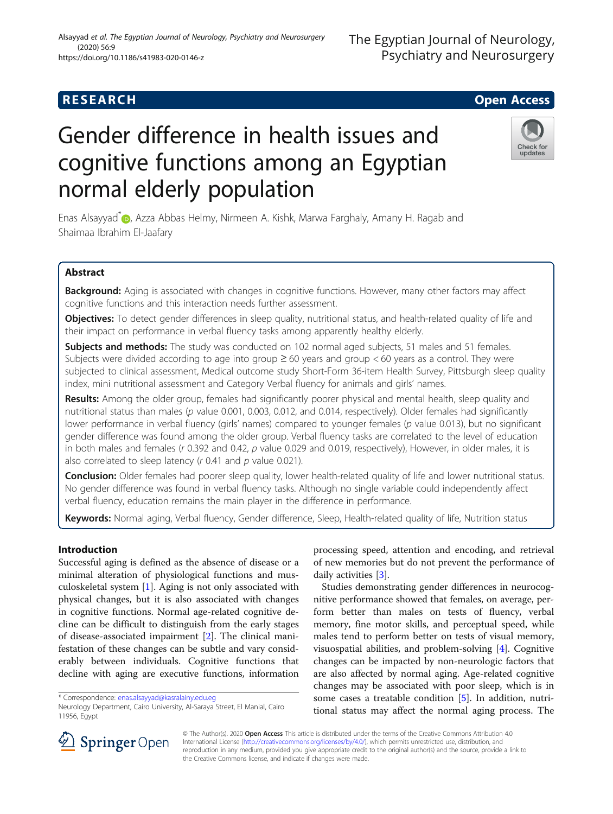# **RESEARCH CHILD CONTROL** CONTROL CONTROL CONTROL CONTROL CONTROL CONTROL CONTROL CONTROL CONTROL CONTROL CONTROL

# Gender difference in health issues and cognitive functions among an Egyptian normal elderly population

Enas Alsayyad<sup>\*</sup> <sub>(D</sub>[,](http://orcid.org/0000-0003-3044-6030) Azza Abbas Helmy, Nirmeen A. Kishk, Marwa Farghaly, Amany H. Ragab and Shaimaa Ibrahim El-Jaafary

## Abstract

Background: Aging is associated with changes in cognitive functions. However, many other factors may affect cognitive functions and this interaction needs further assessment.

Objectives: To detect gender differences in sleep quality, nutritional status, and health-related quality of life and their impact on performance in verbal fluency tasks among apparently healthy elderly.

Subjects and methods: The study was conducted on 102 normal aged subjects, 51 males and 51 females. Subjects were divided according to age into group  $\geq 60$  years and group  $< 60$  years as a control. They were subjected to clinical assessment, Medical outcome study Short-Form 36-item Health Survey, Pittsburgh sleep quality index, mini nutritional assessment and Category Verbal fluency for animals and girls' names.

Results: Among the older group, females had significantly poorer physical and mental health, sleep quality and nutritional status than males (p value 0.001, 0.003, 0.012, and 0.014, respectively). Older females had significantly lower performance in verbal fluency (girls' names) compared to younger females (p value 0.013), but no significant gender difference was found among the older group. Verbal fluency tasks are correlated to the level of education in both males and females (r 0.392 and 0.42, p value 0.029 and 0.019, respectively), However, in older males, it is also correlated to sleep latency (r 0.41 and p value 0.021).

Conclusion: Older females had poorer sleep quality, lower health-related quality of life and lower nutritional status. No gender difference was found in verbal fluency tasks. Although no single variable could independently affect verbal fluency, education remains the main player in the difference in performance.

Keywords: Normal aging, Verbal fluency, Gender difference, Sleep, Health-related quality of life, Nutrition status

## Introduction

Successful aging is defined as the absence of disease or a minimal alteration of physiological functions and musculoskeletal system [\[1](#page-5-0)]. Aging is not only associated with physical changes, but it is also associated with changes in cognitive functions. Normal age-related cognitive decline can be difficult to distinguish from the early stages of disease-associated impairment [[2\]](#page-5-0). The clinical manifestation of these changes can be subtle and vary considerably between individuals. Cognitive functions that decline with aging are executive functions, information

\* Correspondence: [enas.alsayyad@kasralainy.edu.eg](mailto:enas.alsayyad@kasralainy.edu.eg)

© The Author(s). 2020 Open Access This article is distributed under the terms of the Creative Commons Attribution 4.0 International License ([http://creativecommons.org/licenses/by/4.0/\)](http://creativecommons.org/licenses/by/4.0/), which permits unrestricted use, distribution, and reproduction in any medium, provided you give appropriate credit to the original author(s) and the source, provide a link to the Creative Commons license, and indicate if changes were made.

processing speed, attention and encoding, and retrieval of new memories but do not prevent the performance of daily activities [\[3](#page-5-0)].

Studies demonstrating gender differences in neurocognitive performance showed that females, on average, perform better than males on tests of fluency, verbal memory, fine motor skills, and perceptual speed, while males tend to perform better on tests of visual memory, visuospatial abilities, and problem-solving [\[4](#page-5-0)]. Cognitive changes can be impacted by non-neurologic factors that are also affected by normal aging. Age-related cognitive changes may be associated with poor sleep, which is in some cases a treatable condition [\[5](#page-5-0)]. In addition, nutritional status may affect the normal aging process. The





Neurology Department, Cairo University, Al-Saraya Street, El Manial, Cairo 11956, Egypt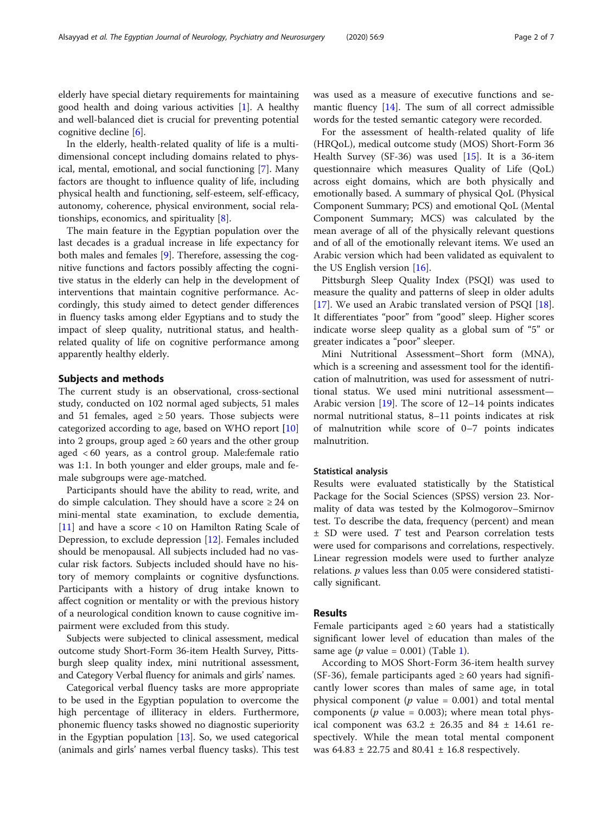elderly have special dietary requirements for maintaining good health and doing various activities [[1\]](#page-5-0). A healthy and well-balanced diet is crucial for preventing potential cognitive decline [\[6](#page-5-0)].

In the elderly, health-related quality of life is a multidimensional concept including domains related to physical, mental, emotional, and social functioning [[7\]](#page-5-0). Many factors are thought to influence quality of life, including physical health and functioning, self-esteem, self-efficacy, autonomy, coherence, physical environment, social relationships, economics, and spirituality [[8\]](#page-5-0).

The main feature in the Egyptian population over the last decades is a gradual increase in life expectancy for both males and females [\[9\]](#page-5-0). Therefore, assessing the cognitive functions and factors possibly affecting the cognitive status in the elderly can help in the development of interventions that maintain cognitive performance. Accordingly, this study aimed to detect gender differences in fluency tasks among elder Egyptians and to study the impact of sleep quality, nutritional status, and healthrelated quality of life on cognitive performance among apparently healthy elderly.

#### Subjects and methods

The current study is an observational, cross-sectional study, conducted on 102 normal aged subjects, 51 males and 51 females, aged  $\geq$  50 years. Those subjects were categorized according to age, based on WHO report [[10](#page-5-0)] into 2 groups, group aged  $\geq 60$  years and the other group aged < 60 years, as a control group. Male:female ratio was 1:1. In both younger and elder groups, male and female subgroups were age-matched.

Participants should have the ability to read, write, and do simple calculation. They should have a score  $\geq 24$  on mini-mental state examination, to exclude dementia, [[11\]](#page-5-0) and have a score < 10 on Hamilton Rating Scale of Depression, to exclude depression [[12\]](#page-5-0). Females included should be menopausal. All subjects included had no vascular risk factors. Subjects included should have no history of memory complaints or cognitive dysfunctions. Participants with a history of drug intake known to affect cognition or mentality or with the previous history of a neurological condition known to cause cognitive impairment were excluded from this study.

Subjects were subjected to clinical assessment, medical outcome study Short-Form 36-item Health Survey, Pittsburgh sleep quality index, mini nutritional assessment, and Category Verbal fluency for animals and girls' names.

Categorical verbal fluency tasks are more appropriate to be used in the Egyptian population to overcome the high percentage of illiteracy in elders. Furthermore, phonemic fluency tasks showed no diagnostic superiority in the Egyptian population  $[13]$  $[13]$ . So, we used categorical (animals and girls' names verbal fluency tasks). This test

was used as a measure of executive functions and semantic fluency [\[14](#page-5-0)]. The sum of all correct admissible words for the tested semantic category were recorded.

For the assessment of health-related quality of life (HRQoL), medical outcome study (MOS) Short-Form 36 Health Survey (SF-36) was used [\[15\]](#page-5-0). It is a 36-item questionnaire which measures Quality of Life (QoL) across eight domains, which are both physically and emotionally based. A summary of physical QoL (Physical Component Summary; PCS) and emotional QoL (Mental Component Summary; MCS) was calculated by the mean average of all of the physically relevant questions and of all of the emotionally relevant items. We used an Arabic version which had been validated as equivalent to the US English version [\[16\]](#page-5-0).

Pittsburgh Sleep Quality Index (PSQI) was used to measure the quality and patterns of sleep in older adults [[17\]](#page-5-0). We used an Arabic translated version of PSQI [\[18](#page-5-0)]. It differentiates "poor" from "good" sleep. Higher scores indicate worse sleep quality as a global sum of "5" or greater indicates a "poor" sleeper.

Mini Nutritional Assessment–Short form (MNA), which is a screening and assessment tool for the identification of malnutrition, was used for assessment of nutritional status. We used mini nutritional assessment— Arabic version [\[19\]](#page-5-0). The score of 12–14 points indicates normal nutritional status, 8–11 points indicates at risk of malnutrition while score of 0–7 points indicates malnutrition.

#### Statistical analysis

Results were evaluated statistically by the Statistical Package for the Social Sciences (SPSS) version 23. Normality of data was tested by the Kolmogorov–Smirnov test. To describe the data, frequency (percent) and mean ± SD were used. T test and Pearson correlation tests were used for comparisons and correlations, respectively. Linear regression models were used to further analyze relations. p values less than 0.05 were considered statistically significant.

#### Results

Female participants aged  $\geq 60$  years had a statistically significant lower level of education than males of the same age ( $p$  value = 0.00[1\)](#page-2-0) (Table 1).

According to MOS Short-Form 36-item health survey (SF-36), female participants aged  $\geq 60$  years had significantly lower scores than males of same age, in total physical component ( $p$  value = 0.001) and total mental components ( $p$  value = 0.003); where mean total physical component was  $63.2 \pm 26.35$  and  $84 \pm 14.61$  respectively. While the mean total mental component was  $64.83 \pm 22.75$  and  $80.41 \pm 16.8$  respectively.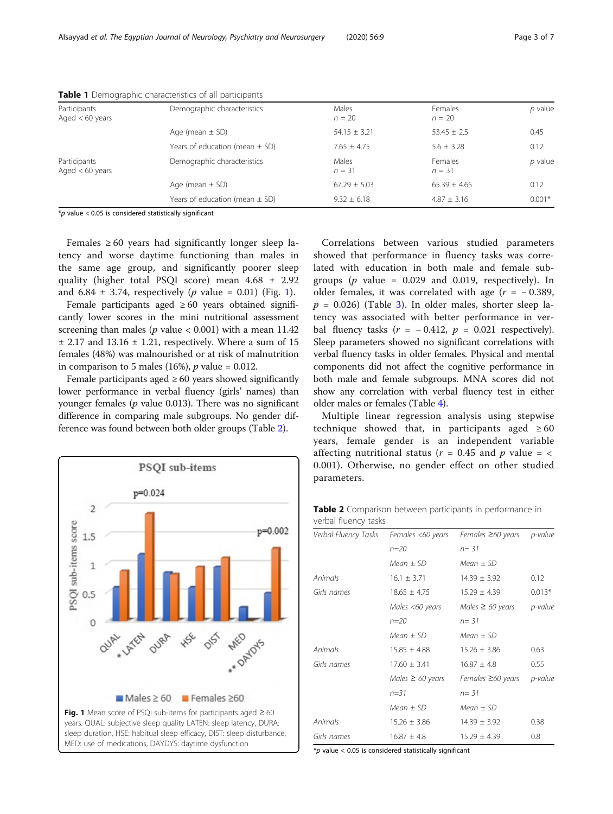| Participants<br>Aged $< 60$ years | Demographic characteristics        | Males<br>$n = 20$ | Females<br>$n = 20$ | $p$ value |
|-----------------------------------|------------------------------------|-------------------|---------------------|-----------|
|                                   | Age (mean $\pm$ SD)                | $54.15 \pm 3.21$  | $53.45 \pm 2.5$     | 0.45      |
|                                   | Years of education (mean $\pm$ SD) | $7.65 \pm 4.75$   | $5.6 \pm 3.28$      | 0.12      |
| Participants<br>Aged $< 60$ years | Demographic characteristics        | Males<br>$n = 31$ | Females<br>$n = 31$ | $p$ value |
|                                   | Age (mean $\pm$ SD)                | $67.29 \pm 5.03$  | $65.39 + 4.65$      | 0.12      |
|                                   | Years of education (mean $\pm$ SD) | $9.32 \pm 6.18$   | $4.87 \pm 3.16$     | $0.001*$  |

<span id="page-2-0"></span>Table 1 Demographic characteristics of all participants

 $*$ p value < 0.05 is considered statistically significant

Females  $\geq 60$  years had significantly longer sleep latency and worse daytime functioning than males in the same age group, and significantly poorer sleep quality (higher total PSQI score) mean 4.68 ± 2.92 and  $6.84 \pm 3.74$ , respectively (*p* value = 0.01) (Fig. 1).

Female participants aged  $\geq 60$  years obtained significantly lower scores in the mini nutritional assessment screening than males ( $p$  value < 0.001) with a mean 11.42  $\pm$  2.17 and 13.16  $\pm$  1.21, respectively. Where a sum of 15 females (48%) was malnourished or at risk of malnutrition in comparison to 5 males (16%),  $p$  value = 0.012.

Female participants aged  $\geq 60$  years showed significantly lower performance in verbal fluency (girls' names) than younger females ( $p$  value 0.013). There was no significant difference in comparing male subgroups. No gender difference was found between both older groups (Table 2).



Correlations between various studied parameters showed that performance in fluency tasks was correlated with education in both male and female subgroups ( $p$  value = 0.029 and 0.019, respectively). In older females, it was correlated with age  $(r = -0.389,$  $p = 0.026$ ) (Table [3\)](#page-3-0). In older males, shorter sleep latency was associated with better performance in verbal fluency tasks  $(r = -0.412, p = 0.021$  respectively). Sleep parameters showed no significant correlations with verbal fluency tasks in older females. Physical and mental components did not affect the cognitive performance in both male and female subgroups. MNA scores did not show any correlation with verbal fluency test in either older males or females (Table [4](#page-3-0)).

Multiple linear regression analysis using stepwise technique showed that, in participants aged  $\geq 60$ years, female gender is an independent variable affecting nutritional status ( $r = 0.45$  and  $p$  value = < 0.001). Otherwise, no gender effect on other studied parameters.

Table 2 Comparison between participants in performance in verbal fluency tasks

| Verbal Fluency Tasks | Females <60 years     | Females $\geq 60$ years | p-value  |  |  |
|----------------------|-----------------------|-------------------------|----------|--|--|
|                      | $n = 20$              | $n = 31$                |          |  |  |
|                      | Mean $\pm$ SD         | Mean $\pm$ SD           |          |  |  |
| Animals              | $16.1 \pm 3.71$       | $14.39 \pm 3.92$        | 0.12     |  |  |
| Girls names          | $18.65 \pm 4.75$      | $15.29 \pm 4.39$        | $0.013*$ |  |  |
|                      | Males <60 years       | Males $\geq 60$ years   | p-value  |  |  |
|                      | $n = 20$              | $n = 31$                |          |  |  |
|                      | $Mean \pm SD$         | $Mean \pm SD$           |          |  |  |
| Animals              | $15.85 \pm 4.88$      | $15.26 \pm 3.86$        | 0.63     |  |  |
| Girls names          | $17.60 \pm 3.41$      | $16.87 \pm 4.8$         | 0.55     |  |  |
|                      | Males $\geq 60$ years | Females $\geq 60$ years | p-value  |  |  |
|                      | $n = 31$              | $n = 31$                |          |  |  |
|                      | Mean $\pm$ SD         | $Mean \pm SD$           |          |  |  |
| Animals              | $15.26 \pm 3.86$      | $14.39 \pm 3.92$        | 0.38     |  |  |
| Girls names          | $16.87 \pm 4.8$       | $15.29 \pm 4.39$        | 0.8      |  |  |

 $*$ p value < 0.05 is considered statistically significant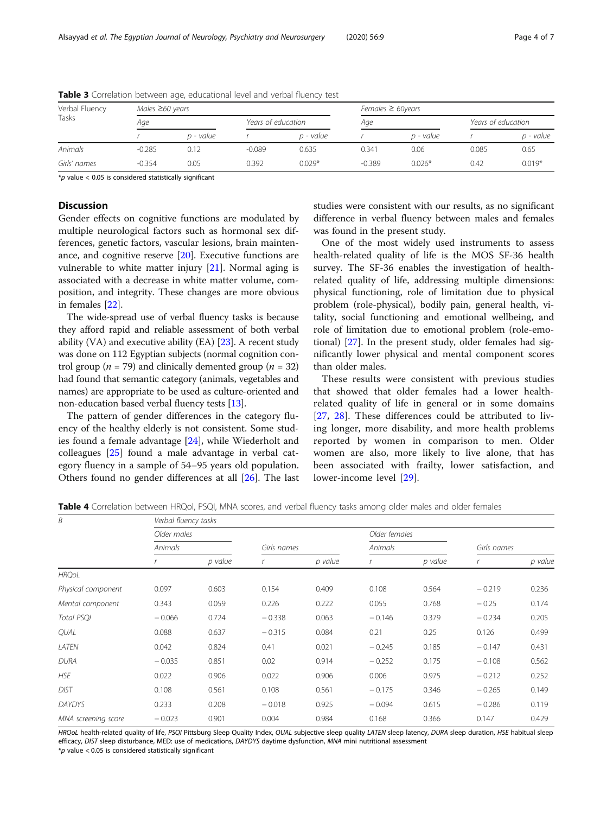| Verbal Fluency<br>Tasks |          | Males $\geq 60$ years |          |                    |          | Females $\geq 60$ years |       |                    |  |
|-------------------------|----------|-----------------------|----------|--------------------|----------|-------------------------|-------|--------------------|--|
|                         | Age      |                       |          | Years of education |          | Aqe                     |       | Years of education |  |
|                         |          | p - value             |          | p - value          |          | p - value               |       | p - value          |  |
| Animals                 | $-0.285$ | 0.12                  | $-0.089$ | 0.635              | 0.341    | 0.06                    | 0.085 | 0.65               |  |
| Girls' names            | $-0.354$ | 0.05                  | 0.392    | $0.029*$           | $-0.389$ | $0.026*$                | 0.42  | $0.019*$           |  |

<span id="page-3-0"></span>Table 3 Correlation between age, educational level and verbal fluency test

 $*$ p value < 0.05 is considered statistically significant

### **Discussion**

Gender effects on cognitive functions are modulated by multiple neurological factors such as hormonal sex differences, genetic factors, vascular lesions, brain maintenance, and cognitive reserve [\[20](#page-5-0)]. Executive functions are vulnerable to white matter injury [[21\]](#page-5-0). Normal aging is associated with a decrease in white matter volume, composition, and integrity. These changes are more obvious in females [\[22](#page-5-0)].

The wide-spread use of verbal fluency tasks is because they afford rapid and reliable assessment of both verbal ability (VA) and executive ability (EA) [[23\]](#page-5-0). A recent study was done on 112 Egyptian subjects (normal cognition control group ( $n = 79$ ) and clinically demented group ( $n = 32$ ) had found that semantic category (animals, vegetables and names) are appropriate to be used as culture-oriented and non-education based verbal fluency tests [[13](#page-5-0)].

The pattern of gender differences in the category fluency of the healthy elderly is not consistent. Some studies found a female advantage [[24](#page-5-0)], while Wiederholt and colleagues [\[25](#page-5-0)] found a male advantage in verbal category fluency in a sample of 54–95 years old population. Others found no gender differences at all [[26\]](#page-5-0). The last studies were consistent with our results, as no significant difference in verbal fluency between males and females was found in the present study.

One of the most widely used instruments to assess health-related quality of life is the MOS SF-36 health survey. The SF-36 enables the investigation of healthrelated quality of life, addressing multiple dimensions: physical functioning, role of limitation due to physical problem (role-physical), bodily pain, general health, vitality, social functioning and emotional wellbeing, and role of limitation due to emotional problem (role-emotional) [[27\]](#page-5-0). In the present study, older females had significantly lower physical and mental component scores than older males.

These results were consistent with previous studies that showed that older females had a lower healthrelated quality of life in general or in some domains [[27,](#page-5-0) [28\]](#page-5-0). These differences could be attributed to living longer, more disability, and more health problems reported by women in comparison to men. Older women are also, more likely to live alone, that has been associated with frailty, lower satisfaction, and lower-income level [[29](#page-5-0)].

Table 4 Correlation between HRQol, PSQI, MNA scores, and verbal fluency tasks among older males and older females

| B                   | Verbal fluency tasks |         |             |         |               |         |             |         |
|---------------------|----------------------|---------|-------------|---------|---------------|---------|-------------|---------|
|                     | Older males          |         |             |         | Older females |         |             |         |
|                     | Animals              |         | Girls names |         | Animals       |         | Girls names |         |
|                     |                      | p value |             | p value |               | p value |             | p value |
| <b>HRQoL</b>        |                      |         |             |         |               |         |             |         |
| Physical component  | 0.097                | 0.603   | 0.154       | 0.409   | 0.108         | 0.564   | $-0.219$    | 0.236   |
| Mental component    | 0.343                | 0.059   | 0.226       | 0.222   | 0.055         | 0.768   | $-0.25$     | 0.174   |
| <b>Total PSOI</b>   | $-0.066$             | 0.724   | $-0.338$    | 0.063   | $-0.146$      | 0.379   | $-0.234$    | 0.205   |
| <b>QUAL</b>         | 0.088                | 0.637   | $-0.315$    | 0.084   | 0.21          | 0.25    | 0.126       | 0.499   |
| LATEN               | 0.042                | 0.824   | 0.41        | 0.021   | $-0.245$      | 0.185   | $-0.147$    | 0.431   |
| <b>DURA</b>         | $-0.035$             | 0.851   | 0.02        | 0.914   | $-0.252$      | 0.175   | $-0.108$    | 0.562   |
| <b>HSE</b>          | 0.022                | 0.906   | 0.022       | 0.906   | 0.006         | 0.975   | $-0.212$    | 0.252   |
| <b>DIST</b>         | 0.108                | 0.561   | 0.108       | 0.561   | $-0.175$      | 0.346   | $-0.265$    | 0.149   |
| <b>DAYDYS</b>       | 0.233                | 0.208   | $-0.018$    | 0.925   | $-0.094$      | 0.615   | $-0.286$    | 0.119   |
| MNA screening score | $-0.023$             | 0.901   | 0.004       | 0.984   | 0.168         | 0.366   | 0.147       | 0.429   |

HRQoL health-related quality of life, PSQI Pittsburg Sleep Quality Index, QUAL subjective sleep quality LATEN sleep latency, DURA sleep duration, HSE habitual sleep efficacy, DIST sleep disturbance, MED: use of medications, DAYDYS daytime dysfunction, MNA mini nutritional assessment

 $*$ p value < 0.05 is considered statistically significant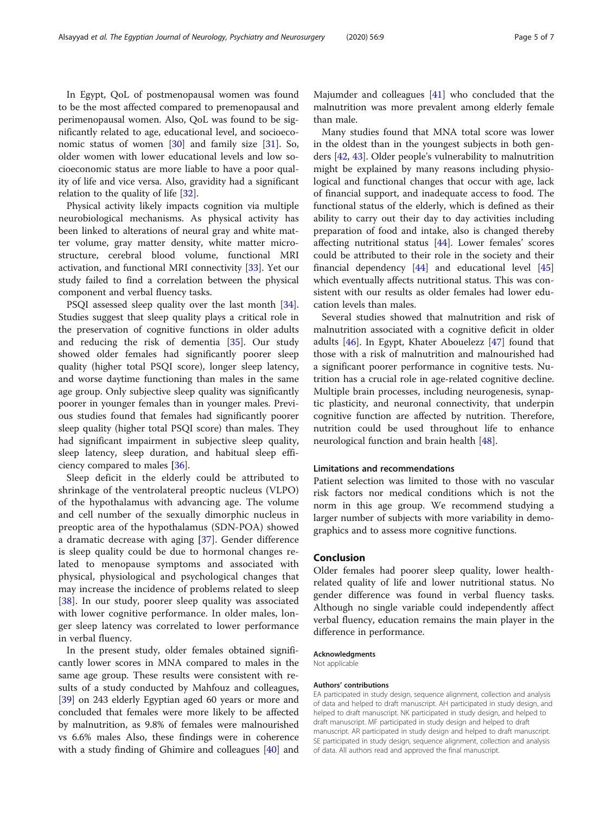In Egypt, QoL of postmenopausal women was found to be the most affected compared to premenopausal and perimenopausal women. Also, QoL was found to be significantly related to age, educational level, and socioeconomic status of women [[30\]](#page-5-0) and family size [\[31\]](#page-5-0). So, older women with lower educational levels and low socioeconomic status are more liable to have a poor quality of life and vice versa. Also, gravidity had a significant relation to the quality of life [[32\]](#page-5-0).

Physical activity likely impacts cognition via multiple neurobiological mechanisms. As physical activity has been linked to alterations of neural gray and white matter volume, gray matter density, white matter microstructure, cerebral blood volume, functional MRI activation, and functional MRI connectivity [\[33](#page-5-0)]. Yet our study failed to find a correlation between the physical component and verbal fluency tasks.

PSQI assessed sleep quality over the last month [\[34](#page-5-0)]. Studies suggest that sleep quality plays a critical role in the preservation of cognitive functions in older adults and reducing the risk of dementia [[35](#page-5-0)]. Our study showed older females had significantly poorer sleep quality (higher total PSQI score), longer sleep latency, and worse daytime functioning than males in the same age group. Only subjective sleep quality was significantly poorer in younger females than in younger males. Previous studies found that females had significantly poorer sleep quality (higher total PSQI score) than males. They had significant impairment in subjective sleep quality, sleep latency, sleep duration, and habitual sleep efficiency compared to males [[36](#page-5-0)].

Sleep deficit in the elderly could be attributed to shrinkage of the ventrolateral preoptic nucleus (VLPO) of the hypothalamus with advancing age. The volume and cell number of the sexually dimorphic nucleus in preoptic area of the hypothalamus (SDN-POA) showed a dramatic decrease with aging [[37\]](#page-5-0). Gender difference is sleep quality could be due to hormonal changes related to menopause symptoms and associated with physical, physiological and psychological changes that may increase the incidence of problems related to sleep [[38\]](#page-5-0). In our study, poorer sleep quality was associated with lower cognitive performance. In older males, longer sleep latency was correlated to lower performance in verbal fluency.

In the present study, older females obtained significantly lower scores in MNA compared to males in the same age group. These results were consistent with results of a study conducted by Mahfouz and colleagues, [[39\]](#page-5-0) on 243 elderly Egyptian aged 60 years or more and concluded that females were more likely to be affected by malnutrition, as 9.8% of females were malnourished vs 6.6% males Also, these findings were in coherence with a study finding of Ghimire and colleagues [\[40\]](#page-6-0) and Majumder and colleagues [\[41\]](#page-6-0) who concluded that the malnutrition was more prevalent among elderly female than male.

Many studies found that MNA total score was lower in the oldest than in the youngest subjects in both genders [[42,](#page-6-0) [43\]](#page-6-0). Older people's vulnerability to malnutrition might be explained by many reasons including physiological and functional changes that occur with age, lack of financial support, and inadequate access to food. The functional status of the elderly, which is defined as their ability to carry out their day to day activities including preparation of food and intake, also is changed thereby affecting nutritional status [[44\]](#page-6-0). Lower females' scores could be attributed to their role in the society and their financial dependency  $[44]$  $[44]$  $[44]$  and educational level  $[45]$  $[45]$  $[45]$ which eventually affects nutritional status. This was consistent with our results as older females had lower education levels than males.

Several studies showed that malnutrition and risk of malnutrition associated with a cognitive deficit in older adults [\[46](#page-6-0)]. In Egypt, Khater Abouelezz [[47\]](#page-6-0) found that those with a risk of malnutrition and malnourished had a significant poorer performance in cognitive tests. Nutrition has a crucial role in age-related cognitive decline. Multiple brain processes, including neurogenesis, synaptic plasticity, and neuronal connectivity, that underpin cognitive function are affected by nutrition. Therefore, nutrition could be used throughout life to enhance neurological function and brain health [\[48](#page-6-0)].

#### Limitations and recommendations

Patient selection was limited to those with no vascular risk factors nor medical conditions which is not the norm in this age group. We recommend studying a larger number of subjects with more variability in demographics and to assess more cognitive functions.

#### Conclusion

Older females had poorer sleep quality, lower healthrelated quality of life and lower nutritional status. No gender difference was found in verbal fluency tasks. Although no single variable could independently affect verbal fluency, education remains the main player in the difference in performance.

#### Acknowledgments

Not applicable

#### Authors' contributions

EA participated in study design, sequence alignment, collection and analysis of data and helped to draft manuscript. AH participated in study design, and helped to draft manuscript. NK participated in study design, and helped to draft manuscript. MF participated in study design and helped to draft manuscript. AR participated in study design and helped to draft manuscript. SE participated in study design, sequence alignment, collection and analysis of data. All authors read and approved the final manuscript.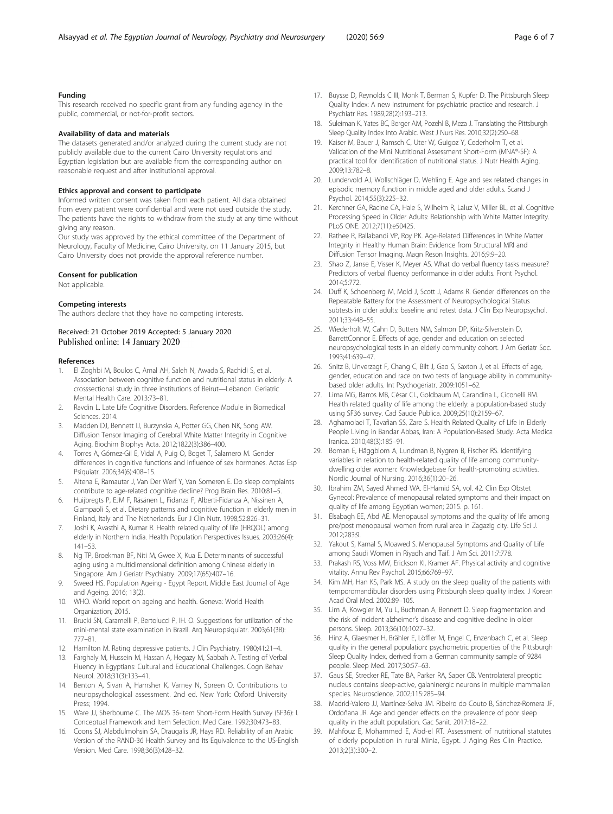#### <span id="page-5-0"></span>Funding

This research received no specific grant from any funding agency in the public, commercial, or not-for-profit sectors.

#### Availability of data and materials

The datasets generated and/or analyzed during the current study are not publicly available due to the current Cairo University regulations and Egyptian legislation but are available from the corresponding author on reasonable request and after institutional approval.

#### Ethics approval and consent to participate

Informed written consent was taken from each patient. All data obtained from every patient were confidential and were not used outside the study. The patients have the rights to withdraw from the study at any time without giving any reason.

Our study was approved by the ethical committee of the Department of Neurology, Faculty of Medicine, Cairo University, on 11 January 2015, but Cairo University does not provide the approval reference number.

#### Consent for publication

Not applicable.

#### Competing interests

The authors declare that they have no competing interests.

# Received: 21 October 2019 Accepted: 5 January 2020

#### References

- 1. El Zoghbi M, Boulos C, Amal AH, Saleh N, Awada S, Rachidi S, et al. Association between cognitive function and nutritional status in elderly: A crosssectional study in three institutions of Beirut—Lebanon. Geriatric Mental Health Care. 2013:73–81.
- Ravdin L. Late Life Cognitive Disorders. Reference Module in Biomedical Sciences. 2014.
- 3. Madden DJ, Bennett IJ, Burzynska A, Potter GG, Chen NK, Song AW. Diffusion Tensor Imaging of Cerebral White Matter Integrity in Cognitive Aging. Biochim Biophys Acta. 2012;1822(3):386–400.
- 4. Torres A, Gómez-Gil E, Vidal A, Puig O, Boget T, Salamero M. Gender differences in cognitive functions and influence of sex hormones. Actas Esp Psiquiatr. 2006;34(6):408–15.
- 5. Altena E, Ramautar J, Van Der Werf Y, Van Someren E. Do sleep complaints contribute to age-related cognitive decline? Prog Brain Res. 2010:81–5.
- 6. Huijbregts P, EJM F, Räsänen L, Fidanza F, Alberti-Fidanza A, Nissinen A, Giampaoli S, et al. Dietary patterns and cognitive function in elderly men in Finland, Italy and The Netherlands. Eur J Clin Nutr. 1998;52:826–31.
- 7. Joshi K, Avasthi A, Kumar R. Health related quality of life (HRQOL) among elderly in Northern India. Health Population Perspectives Issues. 2003;26(4): 141–53.
- 8. Ng TP, Broekman BF, Niti M, Gwee X, Kua E. Determinants of successful aging using a multidimensional definition among Chinese elderly in Singapore. Am J Geriatr Psychiatry. 2009;17(65):407–16.
- 9. Sweed HS. Population Ageing Egypt Report. Middle East Journal of Age and Ageing. 2016; 13(2).
- 10. WHO. World report on ageing and health. Geneva: World Health Organization; 2015.
- 11. Brucki SN, Caramelli P, Bertolucci P, IH. O. Suggestions for utilization of the mini-mental state examination in Brazil. Arq Neuropsiquiatr. 2003;61(3B): 777–81.
- 12. Hamilton M. Rating depressive patients. J Clin Psychiatry. 1980;41:21–4.
- 13. Farghaly M, Hussein M, Hassan A, Hegazy M, Sabbah A. Testing of Verbal Fluency in Egyptians: Cultural and Educational Challenges. Cogn Behav Neurol. 2018;31(3):133–41.
- 14. Benton A, Sivan A, Hamsher K, Varney N, Spreen O. Contributions to neuropsychological assessment. 2nd ed. New York: Oxford University Press; 1994.
- 15. Ware JJ, Sherbourne C. The MOS 36-Item Short-Form Health Survey (SF36): I. Conceptual Framework and Item Selection. Med Care. 1992;30:473–83.
- 16. Coons SJ, Alabdulmohsin SA, Draugalis JR, Hays RD. Reliability of an Arabic Version of the RAND-36 Health Survey and Its Equivalence to the US-English Version. Med Care. 1998;36(3):428–32.
- 17. Buysse D, Reynolds C III, Monk T, Berman S, Kupfer D. The Pittsburgh Sleep Quality Index: A new instrument for psychiatric practice and research. J Psychiatr Res. 1989;28(2):193–213.
- 18. Suleiman K, Yates BC, Berger AM, Pozehl B, Meza J. Translating the Pittsburgh Sleep Quality Index Into Arabic. West J Nurs Res. 2010;32(2):250–68.
- 19. Kaiser M, Bauer J, Ramsch C, Uter W, Guigoz Y, Cederholm T, et al. Validation of the Mini Nutritional Assessment Short-Form (MNA®-SF): A practical tool for identification of nutritional status. J Nutr Health Aging. 2009;13:782–8.
- 20. Lundervold AJ, Wollschläger D, Wehling E. Age and sex related changes in episodic memory function in middle aged and older adults. Scand J Psychol. 2014;55(3):225–32.
- 21. Kerchner GA, Racine CA, Hale S, Wilheim R, Laluz V, Miller BL, et al. Cognitive Processing Speed in Older Adults: Relationship with White Matter Integrity. PLoS ONE. 2012;7(11):e50425.
- 22. Rathee R, Rallabandi VP, Roy PK. Age-Related Differences in White Matter Integrity in Healthy Human Brain: Evidence from Structural MRI and Diffusion Tensor Imaging. Magn Reson Insights. 2016;9:9–20.
- 23. Shao Z, Janse E, Visser K, Meyer AS. What do verbal fluency tasks measure? Predictors of verbal fluency performance in older adults. Front Psychol. 2014;5:772.
- 24. Duff K, Schoenberg M, Mold J, Scott J, Adams R. Gender differences on the Repeatable Battery for the Assessment of Neuropsychological Status subtests in older adults: baseline and retest data. J Clin Exp Neuropsychol. 2011;33:448–55.
- 25. Wiederholt W, Cahn D, Butters NM, Salmon DP, Kritz-Silverstein D, BarrettConnor E. Effects of age, gender and education on selected neuropsychological tests in an elderly community cohort. J Am Geriatr Soc. 1993;41:639–47.
- 26. Snitz B, Unverzagt F, Chang C, Bilt J, Gao S, Saxton J, et al. Effects of age, gender, education and race on two tests of language ability in communitybased older adults. Int Psychogeriatr. 2009:1051–62.
- 27. Lima MG, Barros MB, César CL, Goldbaum M, Carandina L, Ciconelli RM. Health related quality of life among the elderly: a population-based study using SF36 survey. Cad Saude Publica. 2009;25(10):2159–67.
- 28. Aghamolaei T, Tavafian SS, Zare S. Health Related Quality of Life in Elderly People Living in Bandar Abbas, Iran: A Population-Based Study. Acta Medica Iranica. 2010;48(3):185–91.
- 29. Boman E, Häggblom A, Lundman B, Nygren B, Fischer RS. Identifying variables in relation to health-related quality of life among communitydwelling older women: Knowledgebase for health-promoting activities. Nordic Journal of Nursing. 2016;36(1):20–26.
- 30. Ibrahim ZM, Sayed Ahmed WA. El-Hamid SA, vol. 42. Clin Exp Obstet Gynecol: Prevalence of menopausal related symptoms and their impact on quality of life among Egyptian women; 2015. p. 161.
- 31. Elsabagh EE, Abd AE. Menopausal symptoms and the quality of life among pre/post menopausal women from rural area in Zagazig city. Life Sci J. 2012;283:9.
- 32. Yakout S, Kamal S, Moawed S. Menopausal Symptoms and Quality of Life among Saudi Women in Riyadh and Taif. J Am Sci. 2011;7:778.
- 33. Prakash RS, Voss MW, Erickson KI, Kramer AF. Physical activity and cognitive vitality. Annu Rev Psychol. 2015;66:769–97.
- 34. Kim MH, Han KS, Park MS. A study on the sleep quality of the patients with temporomandibular disorders using Pittsburgh sleep quality index. J Korean Acad Oral Med. 2002:89–105.
- 35. Lim A, Kowgier M, Yu L, Buchman A, Bennett D. Sleep fragmentation and the risk of incident alzheimer's disease and cognitive decline in older persons. Sleep. 2013;36(10):1027–32.
- 36. Hinz A, Glaesmer H, Brähler E, Löffler M, Engel C, Enzenbach C, et al. Sleep quality in the general population: psychometric properties of the Pittsburgh Sleep Quality Index, derived from a German community sample of 9284 people. Sleep Med. 2017;30:57–63.
- 37. Gaus SE, Strecker RE, Tate BA, Parker RA, Saper CB. Ventrolateral preoptic nucleus contains sleep-active, galaninergic neurons in multiple mammalian species. Neuroscience. 2002;115:285–94.
- 38. Madrid-Valero JJ, Martínez-Selva JM. Ribeiro do Couto B, Sánchez-Romera JF, Ordoñana JR. Age and gender effects on the prevalence of poor sleep quality in the adult population. Gac Sanit. 2017:18–22.
- 39. Mahfouz E, Mohammed E, Abd-el RT. Assessment of nutritional statutes of elderly population in rural Minia, Egypt. J Aging Res Clin Practice. 2013;2(3):300–2.